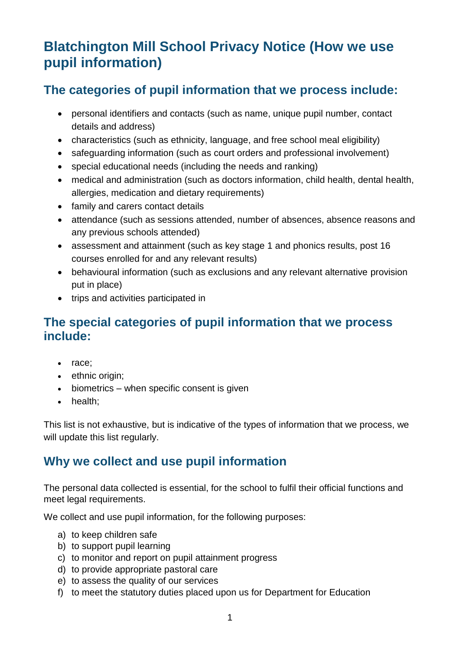# **Blatchington Mill School Privacy Notice (How we use pupil information)**

# **The categories of pupil information that we process include:**

- personal identifiers and contacts (such as name, unique pupil number, contact details and address)
- characteristics (such as ethnicity, language, and free school meal eligibility)
- safeguarding information (such as court orders and professional involvement)
- special educational needs (including the needs and ranking)
- medical and administration (such as doctors information, child health, dental health, allergies, medication and dietary requirements)
- family and carers contact details
- attendance (such as sessions attended, number of absences, absence reasons and any previous schools attended)
- assessment and attainment (such as key stage 1 and phonics results, post 16 courses enrolled for and any relevant results)
- behavioural information (such as exclusions and any relevant alternative provision put in place)
- trips and activities participated in

# **The special categories of pupil information that we process include:**

- race;
- ethnic origin;
- biometrics when specific consent is given
- health;

This list is not exhaustive, but is indicative of the types of information that we process, we will update this list regularly.

# **Why we collect and use pupil information**

The personal data collected is essential, for the school to fulfil their official functions and meet legal requirements.

We collect and use pupil information, for the following purposes:

- a) to keep children safe
- b) to support pupil learning
- c) to monitor and report on pupil attainment progress
- d) to provide appropriate pastoral care
- e) to assess the quality of our services
- f) to meet the statutory duties placed upon us for Department for Education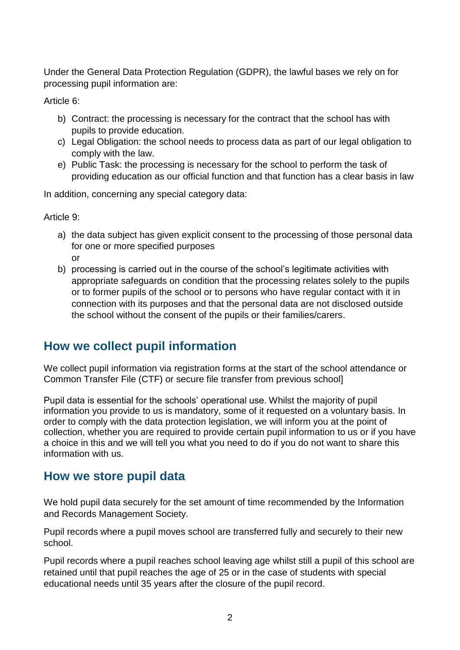Under the General Data Protection Regulation (GDPR), the lawful bases we rely on for processing pupil information are:

Article 6:

- b) Contract: the processing is necessary for the contract that the school has with pupils to provide education.
- c) Legal Obligation: the school needs to process data as part of our legal obligation to comply with the law.
- e) Public Task: the processing is necessary for the school to perform the task of providing education as our official function and that function has a clear basis in law

In addition, concerning any special category data:

Article 9:

- a) the data subject has given explicit consent to the processing of those personal data for one or more specified purposes or
- b) processing is carried out in the course of the school's legitimate activities with appropriate safeguards on condition that the processing relates solely to the pupils or to former pupils of the school or to persons who have regular contact with it in connection with its purposes and that the personal data are not disclosed outside the school without the consent of the pupils or their families/carers.

# **How we collect pupil information**

We collect pupil information via registration forms at the start of the school attendance or Common Transfer File (CTF) or secure file transfer from previous school]

Pupil data is essential for the schools' operational use. Whilst the majority of pupil information you provide to us is mandatory, some of it requested on a voluntary basis. In order to comply with the data protection legislation, we will inform you at the point of collection, whether you are required to provide certain pupil information to us or if you have a choice in this and we will tell you what you need to do if you do not want to share this information with us.

# **How we store pupil data**

We hold pupil data securely for the set amount of time recommended by the Information and Records Management Society.

Pupil records where a pupil moves school are transferred fully and securely to their new school.

Pupil records where a pupil reaches school leaving age whilst still a pupil of this school are retained until that pupil reaches the age of 25 or in the case of students with special educational needs until 35 years after the closure of the pupil record.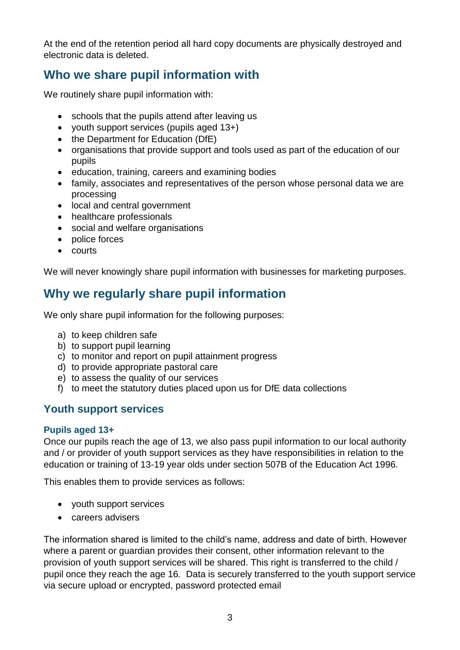At the end of the retention period all hard copy documents are physically destroyed and electronic data is deleted.

# **Who we share pupil information with**

We routinely share pupil information with:

- schools that the pupils attend after leaving us
- youth support services (pupils aged 13+)
- the Department for Education (DfE)
- organisations that provide support and tools used as part of the education of our pupils
- education, training, careers and examining bodies
- family, associates and representatives of the person whose personal data we are processing
- local and central government
- healthcare professionals
- social and welfare organisations
- police forces
- courts

We will never knowingly share pupil information with businesses for marketing purposes.

# **Why we regularly share pupil information**

We only share pupil information for the following purposes:

- a) to keep children safe
- b) to support pupil learning
- c) to monitor and report on pupil attainment progress
- d) to provide appropriate pastoral care
- e) to assess the quality of our services
- f) to meet the statutory duties placed upon us for DfE data collections

## **Youth support services**

#### **Pupils aged 13+**

Once our pupils reach the age of 13, we also pass pupil information to our local authority and / or provider of youth support services as they have responsibilities in relation to the education or training of 13-19 year olds under section 507B of the Education Act 1996.

This enables them to provide services as follows:

- youth support services
- careers advisers

The information shared is limited to the child's name, address and date of birth. However where a parent or guardian provides their consent, other information relevant to the provision of youth support services will be shared. This right is transferred to the child / pupil once they reach the age 16*.* Data is securely transferred to the youth support service via secure upload or encrypted, password protected email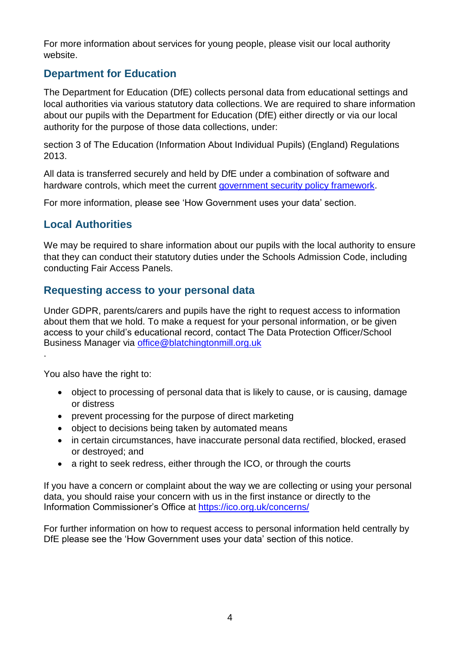For more information about services for young people, please visit our local authority website.

## **Department for Education**

The Department for Education (DfE) collects personal data from educational settings and local authorities via various statutory data collections. We are required to share information about our pupils with the Department for Education (DfE) either directly or via our local authority for the purpose of those data collections, under:

section 3 of The Education (Information About Individual Pupils) (England) Regulations 2013.

All data is transferred securely and held by DfE under a combination of software and hardware controls, which meet the current [government security policy framework.](https://www.gov.uk/government/publications/security-policy-framework)

For more information, please see 'How Government uses your data' section.

### **Local Authorities**

We may be required to share information about our pupils with the local authority to ensure that they can conduct their statutory duties under the Schools Admission Code, including conducting Fair Access Panels.

#### **Requesting access to your personal data**

Under GDPR, parents/carers and pupils have the right to request access to information about them that we hold. To make a request for your personal information, or be given access to your child's educational record, contact The Data Protection Officer/School Business Manager via [office@blatchingtonmill.org.uk](mailto:office@blatchingtonmill.org.uk)

You also have the right to:

.

- object to processing of personal data that is likely to cause, or is causing, damage or distress
- prevent processing for the purpose of direct marketing
- object to decisions being taken by automated means
- in certain circumstances, have inaccurate personal data rectified, blocked, erased or destroyed; and
- a right to seek redress, either through the ICO, or through the courts

If you have a concern or complaint about the way we are collecting or using your personal data, you should raise your concern with us in the first instance or directly to the Information Commissioner's Office at <https://ico.org.uk/concerns/>

For further information on how to request access to personal information held centrally by DfE please see the 'How Government uses your data' section of this notice.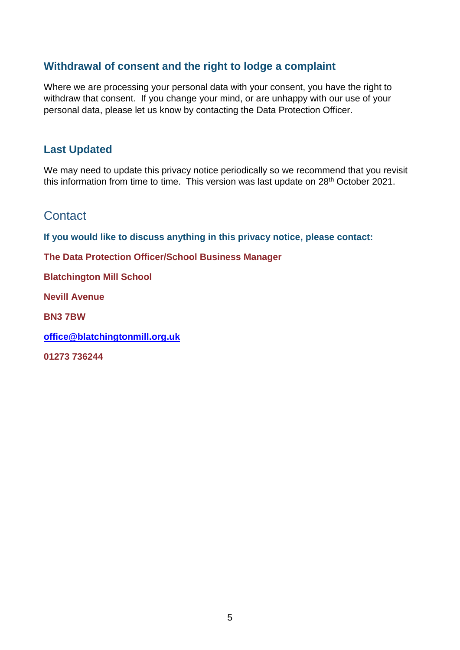### **Withdrawal of consent and the right to lodge a complaint**

Where we are processing your personal data with your consent, you have the right to withdraw that consent. If you change your mind, or are unhappy with our use of your personal data, please let us know by contacting the Data Protection Officer.

#### **Last Updated**

We may need to update this privacy notice periodically so we recommend that you revisit this information from time to time. This version was last update on 28<sup>th</sup> October 2021.

### **Contact**

**If you would like to discuss anything in this privacy notice, please contact:**

**The Data Protection Officer/School Business Manager**

**Blatchington Mill School**

**Nevill Avenue**

**BN3 7BW**

**[office@blatchingtonmill.org.uk](mailto:office@blatchingtonmill.org.uk)**

**01273 736244**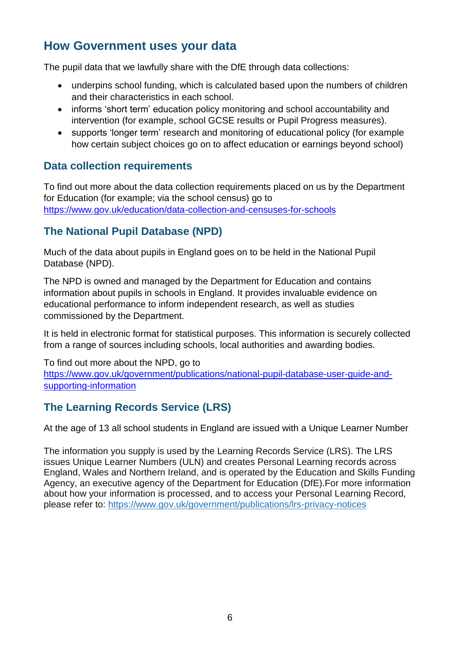# **How Government uses your data**

The pupil data that we lawfully share with the DfE through data collections:

- underpins school funding, which is calculated based upon the numbers of children and their characteristics in each school.
- informs 'short term' education policy monitoring and school accountability and intervention (for example, school GCSE results or Pupil Progress measures).
- supports 'longer term' research and monitoring of educational policy (for example how certain subject choices go on to affect education or earnings beyond school)

#### **Data collection requirements**

To find out more about the data collection requirements placed on us by the Department for Education (for example; via the school census) go to <https://www.gov.uk/education/data-collection-and-censuses-for-schools>

## **The National Pupil Database (NPD)**

Much of the data about pupils in England goes on to be held in the National Pupil Database (NPD).

The NPD is owned and managed by the Department for Education and contains information about pupils in schools in England. It provides invaluable evidence on educational performance to inform independent research, as well as studies commissioned by the Department.

It is held in electronic format for statistical purposes. This information is securely collected from a range of sources including schools, local authorities and awarding bodies.

To find out more about the NPD, go to

[https://www.gov.uk/government/publications/national-pupil-database-user-guide-and](https://www.gov.uk/government/publications/national-pupil-database-user-guide-and-supporting-information)[supporting-information](https://www.gov.uk/government/publications/national-pupil-database-user-guide-and-supporting-information)

### **The Learning Records Service (LRS)**

At the age of 13 all school students in England are issued with a Unique Learner Number

The information you supply is used by the Learning Records Service (LRS). The LRS issues Unique Learner Numbers (ULN) and creates Personal Learning records across England, Wales and Northern Ireland, and is operated by the Education and Skills Funding Agency, an executive agency of the Department for Education (DfE).For more information about how your information is processed, and to access your Personal Learning Record, please refer to: <https://www.gov.uk/government/publications/lrs-privacy-notices>